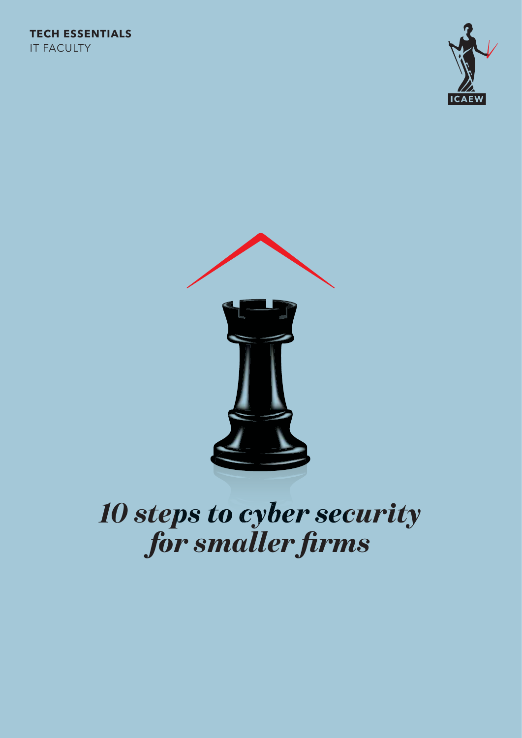



## *10 steps to cyber security* for smaller firms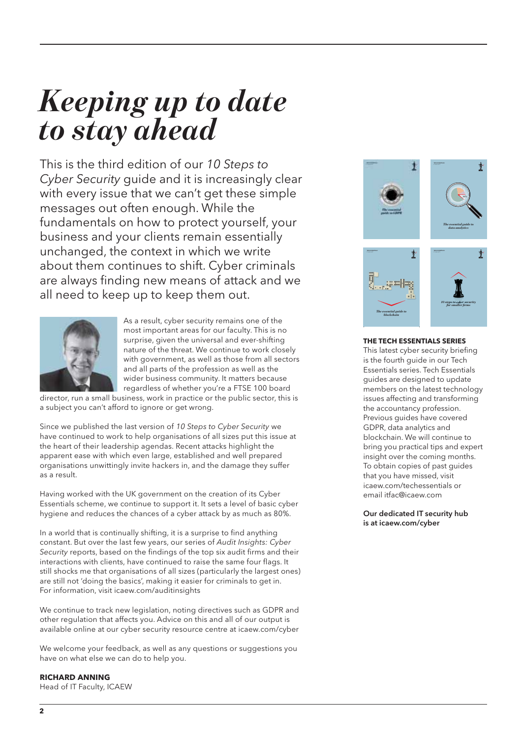## *Keeping up to date to stay ahead*

This is the third edition of our 10 Steps to Cyber Security guide and it is increasingly clear with every issue that we can't get these simple messages out often enough. While the fundamentals on how to protect yourself, your business and your clients remain essentially unchanged, the context in which we write about them continues to shift. Cyber criminals are always finding new means of attack and we all need to keep up to keep them out.



As a result, cyber security remains one of the most important areas for our faculty. This is no surprise, given the universal and ever-shifting nature of the threat. We continue to work closely with government, as well as those from all sectors and all parts of the profession as well as the wider business community. It matters because regardless of whether you're a FTSE 100 board

director, run a small business, work in practice or the public sector, this is a subject you can't afford to ignore or get wrong.

Since we published the last version of 10 Steps to Cyber Security we have continued to work to help organisations of all sizes put this issue at the heart of their leadership agendas. Recent attacks highlight the apparent ease with which even large, established and well prepared organisations unwittingly invite hackers in, and the damage they suffer as a result.

Having worked with the UK government on the creation of its Cyber Essentials scheme, we continue to support it. It sets a level of basic cyber hygiene and reduces the chances of a cyber attack by as much as 80%.

In a world that is continually shifting, it is a surprise to find anything constant. But over the last few years, our series of Audit Insights: Cyber Security reports, based on the findings of the top six audit firms and their interactions with clients, have continued to raise the same four flags. It still shocks me that organisations of all sizes (particularly the largest ones) are still not 'doing the basics', making it easier for criminals to get in. For information, visit icaew.com/auditinsights

We continue to track new legislation, noting directives such as GDPR and other regulation that affects you. Advice on this and all of our output is available online at our cyber security resource centre at icaew.com/cyber

We welcome your feedback, as well as any questions or suggestions you have on what else we can do to help you.

### **RICHARD ANNING**

Head of IT Faculty, ICAEW



#### **THE TECH ESSENTIALS SERIES**

This latest cyber security briefing is the fourth guide in our Tech Essentials series. Tech Essentials guides are designed to update members on the latest technology issues affecting and transforming the accountancy profession. Previous guides have covered GDPR, data analytics and blockchain. We will continue to bring you practical tips and expert insight over the coming months. To obtain copies of past guides that you have missed, visit icaew.com/techessentials or email itfac@icaew.com

#### Our dedicated IT security hub is at icaew.com/cyber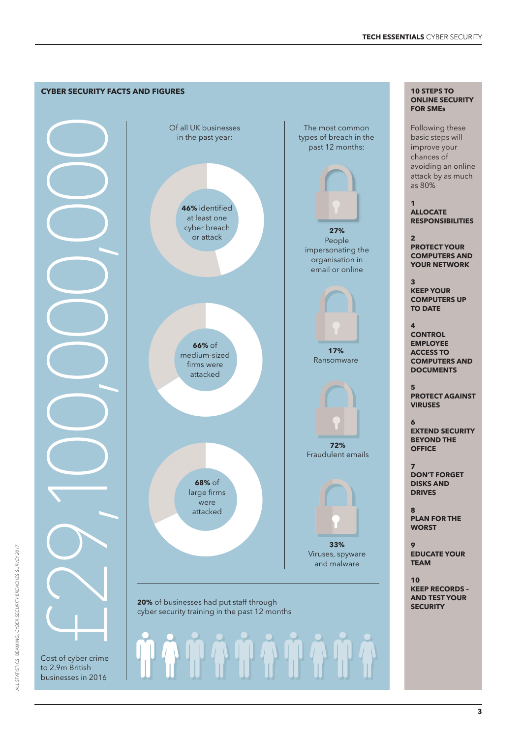

**3**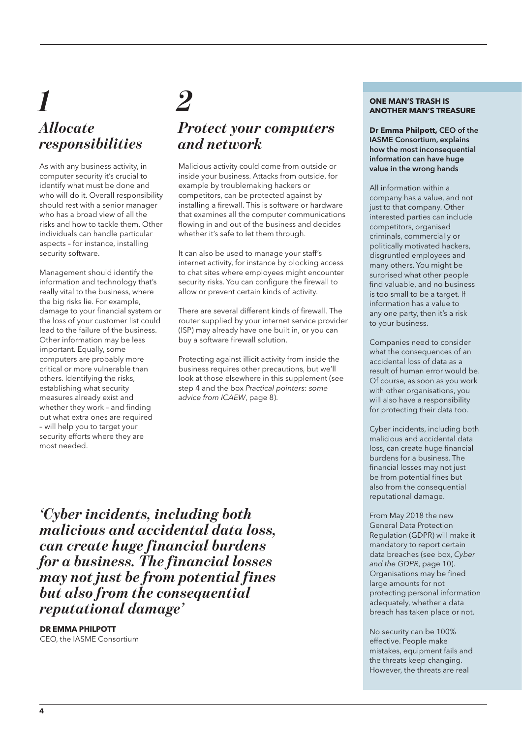## *Allocate responsibilities* **1 DE MAN'S TRASH IS**<br>**2 ONE MAN'S TRASH IS**<br>**2 ONE MAN'S TREAD ISLAND TRASH IS**

As with any business activity, in computer security it's crucial to identify what must be done and who will do it. Overall responsibility should rest with a senior manager who has a broad view of all the risks and how to tackle them. Other individuals can handle particular aspects – for instance, installing security software.

Management should identify the information and technology that's really vital to the business, where the big risks lie. For example, damage to your financial system or the loss of your customer list could lead to the failure of the business. Other information may be less important. Equally, some computers are probably more critical or more vulnerable than others. Identifying the risks, establishing what security measures already exist and whether they work – and finding out what extra ones are required – will help you to target your security efforts where they are most needed.

### *Protect your computers and network*

Malicious activity could come from outside or inside your business. Attacks from outside, for example by troublemaking hackers or competitors, can be protected against by installing a firewall. This is software or hardware that examines all the computer communications flowing in and out of the business and decides whether it's safe to let them through.

It can also be used to manage your staff's internet activity, for instance by blocking access to chat sites where employees might encounter security risks. You can configure the firewall to allow or prevent certain kinds of activity.

There are several different kinds of firewall. The router supplied by your internet service provider (ISP) may already have one built in, or you can buy a software firewall solution.

Protecting against illicit activity from inside the business requires other precautions, but we'll look at those elsewhere in this supplement (see step 4 and the box Practical pointers: some advice from ICAEW, page 8).

**ANOTHER MAN'S TREASURE**

**Dr Emma Philpott,** CEO of the IASME Consortium, explains how the most inconsequential information can have huge value in the wrong hands

All information within a company has a value, and not just to that company. Other interested parties can include competitors, organised criminals, commercially or politically motivated hackers, disgruntled employees and many others. You might be surprised what other people find valuable, and no business is too small to be a target. If information has a value to any one party, then it's a risk to your business.

Companies need to consider what the consequences of an accidental loss of data as a result of human error would be. Of course, as soon as you work with other organisations, you will also have a responsibility for protecting their data too.

Cyber incidents, including both malicious and accidental data loss, can create huge financial burdens for a business. The financial losses may not just be from potential fines but also from the consequential reputational damage.

From May 2018 the new General Data Protection Regulation (GDPR) will make it mandatory to report certain data breaches (see box, Cyber and the GDPR, page 10). Organisations may be fined large amounts for not protecting personal information adequately, whether a data breach has taken place or not.

No security can be 100% effective. People make mistakes, equipment fails and the threats keep changing. However, the threats are real

*'Cyber incidents, including both malicious and accidental data loss, can create huge financial burdens for a business. The financial losses may not just be from potential fines but also from the consequential reputational damage'*

**DR EMMA PHILPOTT** CEO, the IASME Consortium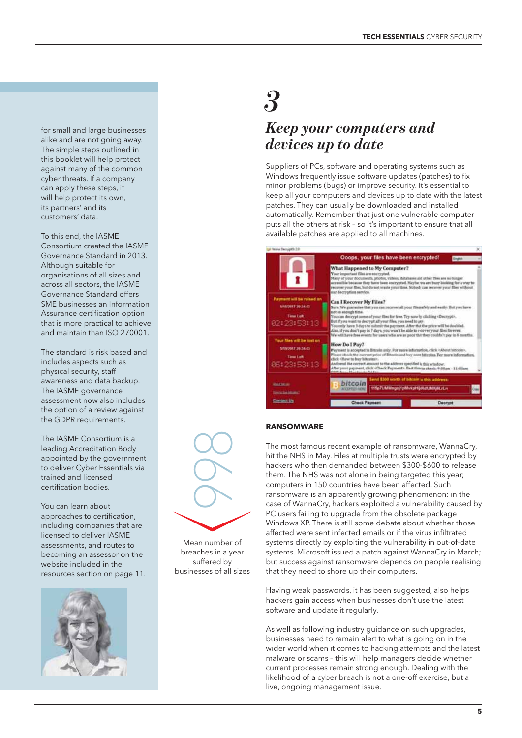for small and large businesses alike and are not going away. The simple steps outlined in this booklet will help protect against many of the common cyber threats. If a company can apply these steps, it will help protect its own, its partners' and its customers' data.

To this end, the IASME Consortium created the IASME Governance Standard in 2013. Although suitable for organisations of all sizes and across all sectors, the IASME Governance Standard offers SME businesses an Information Assurance certification option that is more practical to achieve and maintain than ISO 270001.

The standard is risk based and includes aspects such as physical security, staff awareness and data backup. The IASME governance assessment now also includes the option of a review against the GDPR requirements.

The IASME Consortium is a leading Accreditation Body appointed by the government to deliver Cyber Essentials via trained and licensed certification bodies.

You can learn about approaches to certification, including companies that are licensed to deliver IASME assessments, and routes to becoming an assessor on the website included in the resources section on page 11.



# *3*

### *Keep your computers and devices up to date*

Suppliers of PCs, software and operating systems such as Windows frequently issue software updates (patches) to fix minor problems (bugs) or improve security. It's essential to keep all your computers and devices up to date with the latest patches. They can usually be downloaded and installed automatically. Remember that just one vulnerable computer puts all the others at risk – so it's important to ensure that all available patches are applied to all machines.



### **RANSOMWARE**

The most famous recent example of ransomware, WannaCry, hit the NHS in May. Files at multiple trusts were encrypted by hackers who then demanded between \$300-\$600 to release them. The NHS was not alone in being targeted this year; computers in 150 countries have been affected. Such ransomware is an apparently growing phenomenon: in the case of WannaCry, hackers exploited a vulnerability caused by PC users failing to upgrade from the obsolete package Windows XP. There is still some debate about whether those affected were sent infected emails or if the virus infiltrated systems directly by exploiting the vulnerability in out-of-date systems. Microsoft issued a patch against WannaCry in March; but success against ransomware depends on people realising that they need to shore up their computers.

Having weak passwords, it has been suggested, also helps hackers gain access when businesses don't use the latest software and update it regularly.

As well as following industry guidance on such upgrades, businesses need to remain alert to what is going on in the wider world when it comes to hacking attempts and the latest malware or scams – this will help managers decide whether current processes remain strong enough. Dealing with the likelihood of a cyber breach is not a one-off exercise, but a live, ongoing management issue.



Mean number of breaches in a year suffered by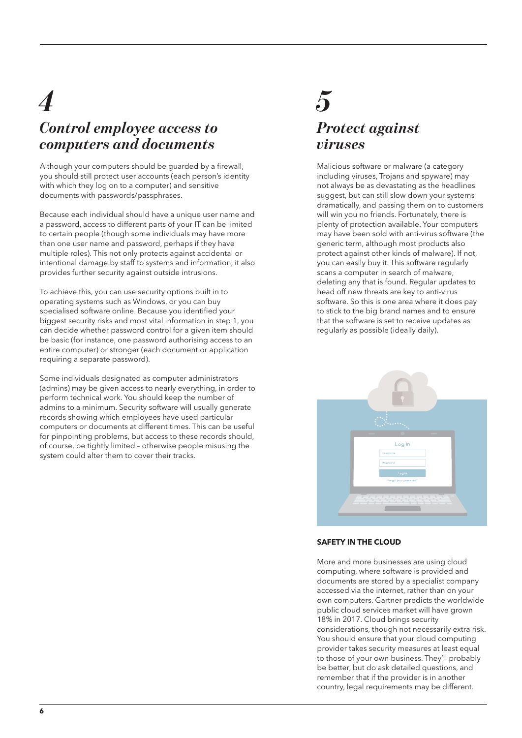## *4 5 Control employee access to computers and documents*

Although your computers should be guarded by a firewall, you should still protect user accounts (each person's identity with which they log on to a computer) and sensitive documents with passwords/passphrases.

Because each individual should have a unique user name and a password, access to different parts of your IT can be limited to certain people (though some individuals may have more than one user name and password, perhaps if they have multiple roles). This not only protects against accidental or intentional damage by staff to systems and information, it also provides further security against outside intrusions.

To achieve this, you can use security options built in to operating systems such as Windows, or you can buy specialised software online. Because you identified your biggest security risks and most vital information in step 1, you can decide whether password control for a given item should be basic (for instance, one password authorising access to an entire computer) or stronger (each document or application requiring a separate password).

Some individuals designated as computer administrators (admins) may be given access to nearly everything, in order to perform technical work. You should keep the number of admins to a minimum. Security software will usually generate records showing which employees have used particular computers or documents at different times. This can be useful for pinpointing problems, but access to these records should, of course, be tightly limited – otherwise people misusing the system could alter them to cover their tracks.

## *Protect against viruses*

Malicious software or malware (a category including viruses, Trojans and spyware) may not always be as devastating as the headlines suggest, but can still slow down your systems dramatically, and passing them on to customers will win you no friends. Fortunately, there is plenty of protection available. Your computers may have been sold with anti-virus software (the generic term, although most products also protect against other kinds of malware). If not, you can easily buy it. This software regularly scans a computer in search of malware, deleting any that is found. Regular updates to head off new threats are key to anti-virus software. So this is one area where it does pay to stick to the big brand names and to ensure that the software is set to receive updates as regularly as possible (ideally daily).



### **SAFETY IN THE CLOUD**

More and more businesses are using cloud computing, where software is provided and documents are stored by a specialist company accessed via the internet, rather than on your own computers. Gartner predicts the worldwide public cloud services market will have grown 18% in 2017. Cloud brings security considerations, though not necessarily extra risk. You should ensure that your cloud computing provider takes security measures at least equal to those of your own business. They'll probably be better, but do ask detailed questions, and remember that if the provider is in another country, legal requirements may be different.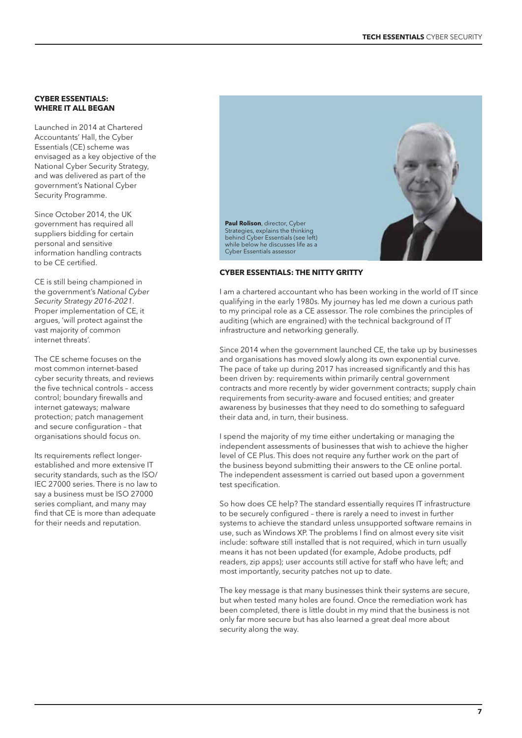### **CYBER ESSENTIALS: WHERE IT ALL BEGAN**

Launched in 2014 at Chartered Accountants' Hall, the Cyber Essentials (CE) scheme was envisaged as a key objective of the National Cyber Security Strategy, and was delivered as part of the government's National Cyber Security Programme.

Since October 2014, the UK government has required all suppliers bidding for certain personal and sensitive information handling contracts to be CE certified.

CE is still being championed in the government's National Cyber Security Strategy 2016-2021. Proper implementation of CE, it argues, 'will protect against the vast majority of common internet threats'.

The CE scheme focuses on the most common internet-based cyber security threats, and reviews the five technical controls – access control; boundary firewalls and internet gateways; malware protection; patch management and secure configuration – that organisations should focus on.

Its requirements reflect longerestablished and more extensive IT security standards, such as the ISO/ IEC 27000 series. There is no law to say a business must be ISO 27000 series compliant, and many may find that CE is more than adequate for their needs and reputation.



### **CYBER ESSENTIALS: THE NITTY GRITTY**

I am a chartered accountant who has been working in the world of IT since qualifying in the early 1980s. My journey has led me down a curious path to my principal role as a CE assessor. The role combines the principles of auditing (which are engrained) with the technical background of IT infrastructure and networking generally.

Since 2014 when the government launched CE, the take up by businesses and organisations has moved slowly along its own exponential curve. The pace of take up during 2017 has increased significantly and this has been driven by: requirements within primarily central government contracts and more recently by wider government contracts; supply chain requirements from security-aware and focused entities; and greater awareness by businesses that they need to do something to safeguard their data and, in turn, their business.

I spend the majority of my time either undertaking or managing the independent assessments of businesses that wish to achieve the higher level of CE Plus. This does not require any further work on the part of the business beyond submitting their answers to the CE online portal. The independent assessment is carried out based upon a government test specification.

So how does CE help? The standard essentially requires IT infrastructure to be securely configured – there is rarely a need to invest in further systems to achieve the standard unless unsupported software remains in use, such as Windows XP. The problems I find on almost every site visit include: software still installed that is not required, which in turn usually means it has not been updated (for example, Adobe products, pdf readers, zip apps); user accounts still active for staff who have left; and most importantly, security patches not up to date.

The key message is that many businesses think their systems are secure, but when tested many holes are found. Once the remediation work has been completed, there is little doubt in my mind that the business is not only far more secure but has also learned a great deal more about security along the way.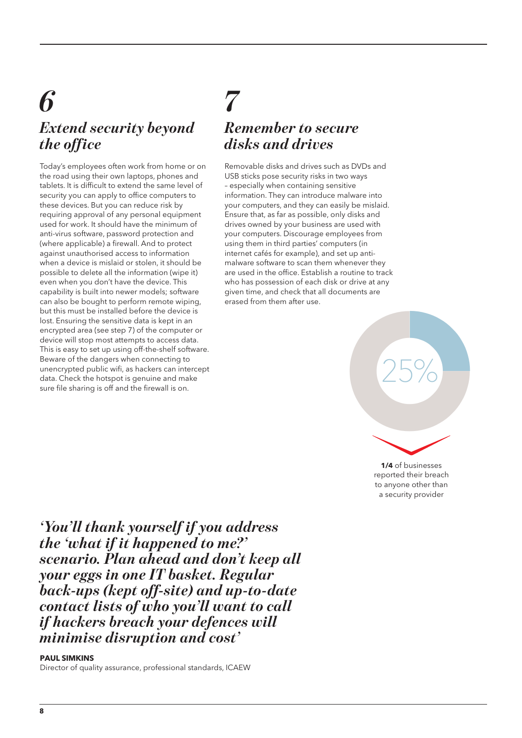## *Extend security beyond the office 6*

Today's employees often work from home or on the road using their own laptops, phones and tablets. It is difficult to extend the same level of security you can apply to office computers to these devices. But you can reduce risk by requiring approval of any personal equipment used for work. It should have the minimum of anti-virus software, password protection and (where applicable) a firewall. And to protect against unauthorised access to information when a device is mislaid or stolen, it should be possible to delete all the information (wipe it) even when you don't have the device. This capability is built into newer models; software can also be bought to perform remote wiping, but this must be installed before the device is lost. Ensuring the sensitive data is kept in an encrypted area (see step 7) of the computer or device will stop most attempts to access data. This is easy to set up using off-the-shelf software. Beware of the dangers when connecting to unencrypted public wifi, as hackers can intercept data. Check the hotspot is genuine and make sure file sharing is off and the firewall is on.

### *7 Remember to secure disks and drives*

Removable disks and drives such as DVDs and USB sticks pose security risks in two ways – especially when containing sensitive information. They can introduce malware into your computers, and they can easily be mislaid. Ensure that, as far as possible, only disks and drives owned by your business are used with your computers. Discourage employees from using them in third parties' computers (in internet cafés for example), and set up antimalware software to scan them whenever they are used in the office. Establish a routine to track who has possession of each disk or drive at any given time, and check that all documents are erased from them after use.



to anyone other than a security provider

*'You'll thank yourself if you address the 'what if it happened to me?' scenario. Plan ahead and don't keep all your eggs in one IT basket. Regular back-ups (kept off-site) and up-to-date contact lists of who you'll want to call if hackers breach your defences will minimise disruption and cost'*

### **PAUL SIMKINS**

Director of quality assurance, professional standards, ICAEW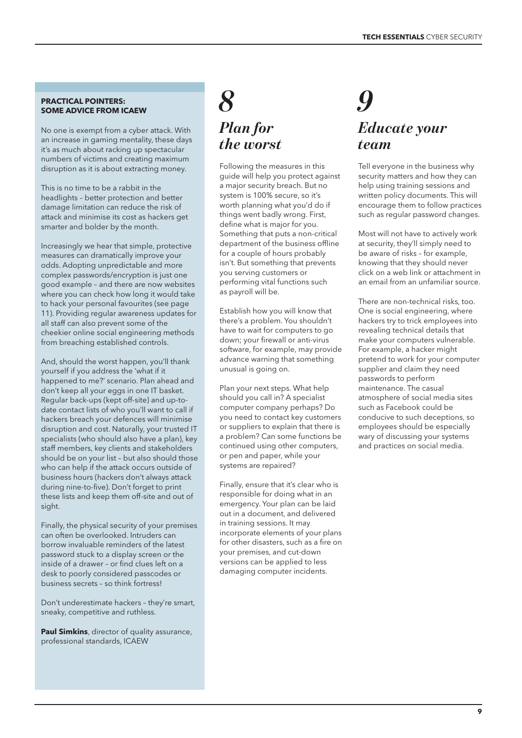### **PRACTICAL POINTERS: SOME ADVICE FROM ICAEW**

No one is exempt from a cyber attack. With an increase in gaming mentality, these days it's as much about racking up spectacular numbers of victims and creating maximum disruption as it is about extracting money.

This is no time to be a rabbit in the headlights – better protection and better damage limitation can reduce the risk of attack and minimise its cost as hackers get smarter and bolder by the month.

Increasingly we hear that simple, protective measures can dramatically improve your odds. Adopting unpredictable and more complex passwords/encryption is just one good example – and there are now websites where you can check how long it would take to hack your personal favourites (see page 11). Providing regular awareness updates for all staff can also prevent some of the cheekier online social engineering methods from breaching established controls.

And, should the worst happen, you'll thank yourself if you address the 'what if it happened to me?' scenario. Plan ahead and don't keep all your eggs in one IT basket. Regular back-ups (kept off-site) and up-todate contact lists of who you'll want to call if hackers breach your defences will minimise disruption and cost. Naturally, your trusted IT specialists (who should also have a plan), key staff members, key clients and stakeholders should be on your list – but also should those who can help if the attack occurs outside of business hours (hackers don't always attack during nine-to-five). Don't forget to print these lists and keep them off-site and out of sight.

Finally, the physical security of your premises can often be overlooked. Intruders can borrow invaluable reminders of the latest password stuck to a display screen or the inside of a drawer – or find clues left on a desk to poorly considered passcodes or business secrets – so think fortress!

Don't underestimate hackers – they're smart, sneaky, competitive and ruthless.

**Paul Simkins**, director of quality assurance, professional standards, ICAEW

### *Plan for the worst 8 9*

Following the measures in this guide will help you protect against a major security breach. But no system is 100% secure, so it's worth planning what you'd do if things went badly wrong. First, define what is major for you. Something that puts a non-critical department of the business offline for a couple of hours probably isn't. But something that prevents you serving customers or performing vital functions such as payroll will be.

Establish how you will know that there's a problem. You shouldn't have to wait for computers to go down; your firewall or anti-virus software, for example, may provide advance warning that something unusual is going on.

Plan your next steps. What help should you call in? A specialist computer company perhaps? Do you need to contact key customers or suppliers to explain that there is a problem? Can some functions be continued using other computers, or pen and paper, while your systems are repaired?

Finally, ensure that it's clear who is responsible for doing what in an emergency. Your plan can be laid out in a document, and delivered in training sessions. It may incorporate elements of your plans for other disasters, such as a fire on your premises, and cut-down versions can be applied to less damaging computer incidents.

## *Educate your team*

Tell everyone in the business why security matters and how they can help using training sessions and written policy documents. This will encourage them to follow practices such as regular password changes.

Most will not have to actively work at security, they'll simply need to be aware of risks – for example, knowing that they should never click on a web link or attachment in an email from an unfamiliar source.

There are non-technical risks, too. One is social engineering, where hackers try to trick employees into revealing technical details that make your computers vulnerable. For example, a hacker might pretend to work for your computer supplier and claim they need passwords to perform maintenance. The casual atmosphere of social media sites such as Facebook could be conducive to such deceptions, so employees should be especially wary of discussing your systems and practices on social media.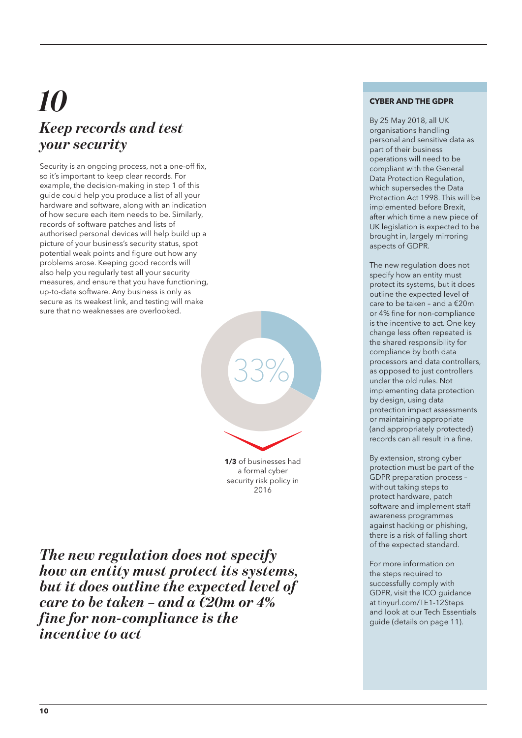## *10 Keep records and test your security*

Security is an ongoing process, not a one-off fix, so it's important to keep clear records. For example, the decision-making in step 1 of this guide could help you produce a list of all your hardware and software, along with an indication of how secure each item needs to be. Similarly, records of software patches and lists of authorised personal devices will help build up a picture of your business's security status, spot potential weak points and figure out how any problems arose. Keeping good records will also help you regularly test all your security measures, and ensure that you have functioning, up-to-date software. Any business is only as secure as its weakest link, and testing will make sure that no weaknesses are overlooked.

**1/3** of businesses had a formal cyber security risk policy in 33%<br>23%<br>1/3 of businesses had<br>a formal cyber 2016 33%<br>33 Of businesses had<br>a formal cyber

*The new regulation does not specify how an entity must protect its systems, but it does outline the expected level of care to be taken – and a €20m or 4% fine for non-compliance is the incentive to act*

### **CYBER AND THE GDPR**

By 25 May 2018, all UK organisations handling personal and sensitive data as part of their business operations will need to be compliant with the General Data Protection Regulation, which supersedes the Data Protection Act 1998. This will be implemented before Brexit, after which time a new piece of UK legislation is expected to be brought in, largely mirroring aspects of GDPR.

The new regulation does not specify how an entity must protect its systems, but it does outline the expected level of care to be taken – and a  $\epsilon$ 20m or 4% fine for non-compliance is the incentive to act. One key change less often repeated is the shared responsibility for compliance by both data processors and data controllers, as opposed to just controllers under the old rules. Not implementing data protection by design, using data protection impact assessments or maintaining appropriate (and appropriately protected) records can all result in a fine.

By extension, strong cyber protection must be part of the GDPR preparation process – without taking steps to protect hardware, patch software and implement staff awareness programmes against hacking or phishing, there is a risk of falling short of the expected standard.

For more information on the steps required to successfully comply with GDPR, visit the ICO guidance at tinyurl.com/TE1-12Steps and look at our Tech Essentials guide (details on page 11).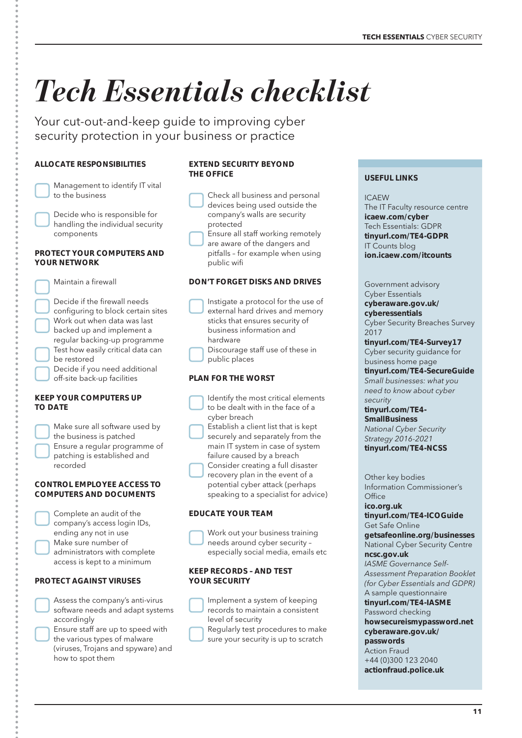# *Tech Essentials checklist*

Your cut-out-and-keep guide to improving cyber security protection in your business or practice

### **ALLOCATE RESPONSIBILITIES**

| Management to identify IT vital<br>to the business                |
|-------------------------------------------------------------------|
| Decide who is responsible for<br>handling the individual security |
| components                                                        |

### **PROTECT YOUR COMPUTERS AND YOUR NETWORK**

Maintain a firewall

 Decide if the firewall needs configuring to block certain sites Work out when data was last backed up and implement a regular backing-up programme Test how easily critical data can be restored Decide if you need additional off-site back-up facilities

### **KEEP YOUR COMPUTERS UP TO DATE**

| Make sure all software used by<br>the business is patched<br>Ensure a regular programme of<br>patching is established and<br>recorded |
|---------------------------------------------------------------------------------------------------------------------------------------|
|                                                                                                                                       |
|                                                                                                                                       |

### **CONTROL EMPLOYEE ACCESS TO COMPUTERS AND DOCUMENTS**

| Complete an audit of the     |
|------------------------------|
| company's access login IDs,  |
| ending any not in use        |
| Make sure number of          |
| administrators with complete |
| access is kept to a minimum  |

### **PROTECT AGAINST VIRUSES**

| Assess the company's anti-virus                         |
|---------------------------------------------------------|
| software needs and adapt systems                        |
| accordingly                                             |
| والمتدرد المرموم والمستور والمستحقق والمستحدث والمستحدث |

 Ensure staff are up to speed with the various types of malware (viruses, Trojans and spyware) and how to spot them

### **EXTEND SECURITY BEYOND THE OFFICE**

| Check all business and personal |
|---------------------------------|
| devices being used outside the  |
| company's walls are security    |
| protected                       |
|                                 |

 Ensure all staff working remotely are aware of the dangers and

pitfalls – for example when using public wifi

### **DON'T FORGET DISKS AND DRIVES**

 Instigate a protocol for the use of external hard drives and memory sticks that ensures security of business information and hardware

 Discourage staff use of these in public places

### **PLAN FOR THE WORST**

- Identify the most critical elements to be dealt with in the face of a cyber breach
- Establish a client list that is kept securely and separately from the main IT system in case of system failure caused by a breach

 Consider creating a full disaster recovery plan in the event of a potential cyber attack (perhaps speaking to a specialist for advice)

### **EDUCATE YOUR TEAM**



 Work out your business training needs around cyber security – especially social media, emails etc

### **KEEP RECORDS – AND TEST YOUR SECURITY**

 Implement a system of keeping records to maintain a consistent level of security

 Regularly test procedures to make sure your security is up to scratch

### **USEFUL LINKS**

ICAEW

The IT Faculty resource centre **icaew.com/cyber** Tech Essentials: GDPR **tinyurl.com/TE4-GDPR** IT Counts blog **ion.icaew.com/itcounts**

#### Government advisory Cyber Essentials **cyberaware.gov.uk/ cyberessentials** Cyber Security Breaches Survey 2017

**tinyurl.com/TE4-Survey17** Cyber security guidance for

business home page **tinyurl.com/TE4-SecureGuide**

Small businesses: what you need to know about cyber security

### **tinyurl.com/TE4- SmallBusiness**

National Cyber Security Strategy 2016-2021 **tinyurl.com/TE4-NCSS**

Other key bodies Information Commissioner's  $Offica$ **ico.org.uk tinyurl.com/TE4-ICOGuide** Get Safe Online **getsafeonline.org/businesses** National Cyber Security Centre **ncsc.gov.uk** IASME Governance Self-Assessment Preparation Booklet (for Cyber Essentials and GDPR) A sample questionnaire **tinyurl.com/TE4-IASME** Password checking **howsecureismypassword.net cyberaware.gov.uk/ passwords** Action Fraud

+44 (0)300 123 2040 **actionfraud.police.uk**